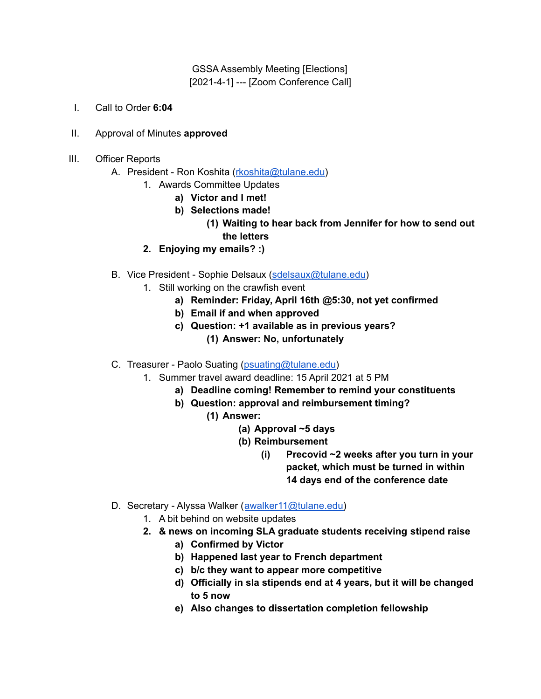GSSA Assembly Meeting [Elections] [2021-4-1] --- [Zoom Conference Call]

- I. Call to Order **6:04**
- II. Approval of Minutes **approved**
- III. Officer Reports
	- A. President Ron Koshita ([rkoshita@tulane.edu\)](mailto:rkoshita@tulane.edu)
		- 1. Awards Committee Updates
			- **a) Victor and I met!**
			- **b) Selections made!**
				- **(1) Waiting to hear back from Jennifer for how to send out the letters**
		- **2. Enjoying my emails? :)**
	- B. Vice President Sophie Delsaux [\(sdelsaux@tulane.edu](mailto:sdelsaux@tulane.edu))
		- 1. Still working on the crawfish event
			- **a) Reminder: Friday, April 16th @5:30, not yet confirmed**
			- **b) Email if and when approved**
			- **c) Question: +1 available as in previous years? (1) Answer: No, unfortunately**
	- C. Treasurer Paolo Suating [\(psuating@tulane.edu](mailto:psuating@tulane.edu))
		- 1. Summer travel award deadline: 15 April 2021 at 5 PM
			- **a) Deadline coming! Remember to remind your constituents**
			- **b) Question: approval and reimbursement timing?**
				- **(1) Answer:**
					- **(a) Approval ~5 days**
					- **(b) Reimbursement**
						- **(i) Precovid ~2 weeks after you turn in your packet, which must be turned in within 14 days end of the conference date**
	- D. Secretary Alyssa Walker ([awalker11@tulane.edu\)](mailto:awalker11@tulane.edu)
		- 1. A bit behind on website updates
		- **2. & news on incoming SLA graduate students receiving stipend raise**
			- **a) Confirmed by Victor**
			- **b) Happened last year to French department**
			- **c) b/c they want to appear more competitive**
			- **d) Officially in sla stipends end at 4 years, but it will be changed to 5 now**
			- **e) Also changes to dissertation completion fellowship**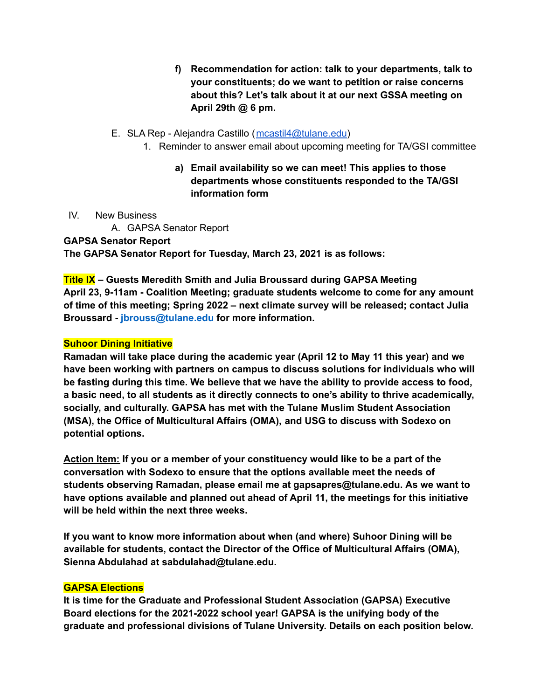**f) Recommendation for action: talk to your departments, talk to your constituents; do we want to petition or raise concerns about this? Let's talk about it at our next GSSA meeting on April 29th @ 6 pm.**

## E. SLA Rep - Alejandra Castillo ([mcastil4@tulane.edu\)](mailto:mcastil4@tulane.edu)

- 1. Reminder to answer email about upcoming meeting for TA/GSI committee
	- **a) Email availability so we can meet! This applies to those departments whose constituents responded to the TA/GSI information form**
- IV. New Business

A. GAPSA Senator Report **GAPSA Senator Report The GAPSA Senator Report for Tuesday, March 23, 2021 is as follows:**

**Title IX – Guests Meredith Smith and Julia Broussard during GAPSA Meeting April 23, 9-11am - Coalition Meeting; graduate students welcome to come for any amount of time of this meeting; Spring 2022 – next climate survey will be released; contact Julia Broussard - jbrouss@tulane.edu for more information.**

## **Suhoor Dining Initiative**

**Ramadan will take place during the academic year (April 12 to May 11 this year) and we have been working with partners on campus to discuss solutions for individuals who will be fasting during this time. We believe that we have the ability to provide access to food, a basic need, to all students as it directly connects to one's ability to thrive academically, socially, and culturally. GAPSA has met with the Tulane Muslim Student Association (MSA), the Office of Multicultural Affairs (OMA), and USG to discuss with Sodexo on potential options.**

**Action Item: If you or a member of your constituency would like to be a part of the conversation with Sodexo to ensure that the options available meet the needs of students observing Ramadan, please email me at gapsapres@tulane.edu. As we want to have options available and planned out ahead of April 11, the meetings for this initiative will be held within the next three weeks.**

**If you want to know more information about when (and where) Suhoor Dining will be available for students, contact the Director of the Office of Multicultural Affairs (OMA), Sienna Abdulahad at sabdulahad@tulane.edu.**

# **GAPSA Elections**

**It is time for the Graduate and Professional Student Association (GAPSA) Executive Board elections for the 2021-2022 school year! GAPSA is the unifying body of the graduate and professional divisions of Tulane University. Details on each position below.**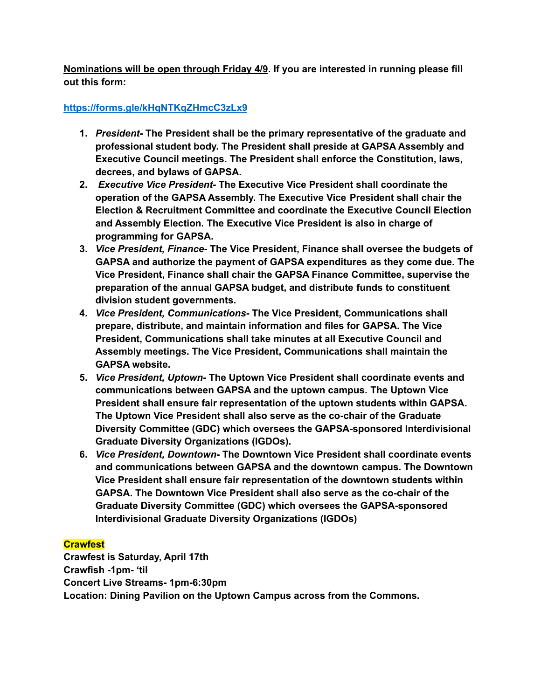**Nominations will be open through Friday 4/9. If you are interested in running please fill out this form:**

# **<https://forms.gle/kHqNTKqZHmcC3zLx9>**

- **1.** *President***- The President shall be the primary representative of the graduate and professional student body. The President shall preside at GAPSA Assembly and Executive Council meetings. The President shall enforce the Constitution, laws, decrees, and bylaws of GAPSA.**
- **2.** *Executive Vice President-* **The Executive Vice President shall coordinate the operation of the GAPSA Assembly. The Executive Vice President shall chair the Election & Recruitment Committee and coordinate the Executive Council Election and Assembly Election. The Executive Vice President is also in charge of programming for GAPSA.**
- **3.** *Vice President, Finance-* **The Vice President, Finance shall oversee the budgets of GAPSA and authorize the payment of GAPSA expenditures as they come due. The Vice President, Finance shall chair the GAPSA Finance Committee, supervise the preparation of the annual GAPSA budget, and distribute funds to constituent division student governments.**
- **4.** *Vice President, Communications***- The Vice President, Communications shall prepare, distribute, and maintain information and files for GAPSA. The Vice President, Communications shall take minutes at all Executive Council and Assembly meetings. The Vice President, Communications shall maintain the GAPSA website.**
- **5.** *Vice President, Uptown-* **The Uptown Vice President shall coordinate events and communications between GAPSA and the uptown campus. The Uptown Vice President shall ensure fair representation of the uptown students within GAPSA. The Uptown Vice President shall also serve as the co-chair of the Graduate Diversity Committee (GDC) which oversees the GAPSA-sponsored Interdivisional Graduate Diversity Organizations (IGDOs).**
- **6.** *Vice President, Downtown***- The Downtown Vice President shall coordinate events and communications between GAPSA and the downtown campus. The Downtown Vice President shall ensure fair representation of the downtown students within GAPSA. The Downtown Vice President shall also serve as the co-chair of the Graduate Diversity Committee (GDC) which oversees the GAPSA-sponsored Interdivisional Graduate Diversity Organizations (IGDOs)**

# **Crawfest**

**Crawfest is Saturday, April 17th Crawfish -1pm- 'til Concert Live Streams- 1pm-6:30pm Location: Dining Pavilion on the Uptown Campus across from the Commons.**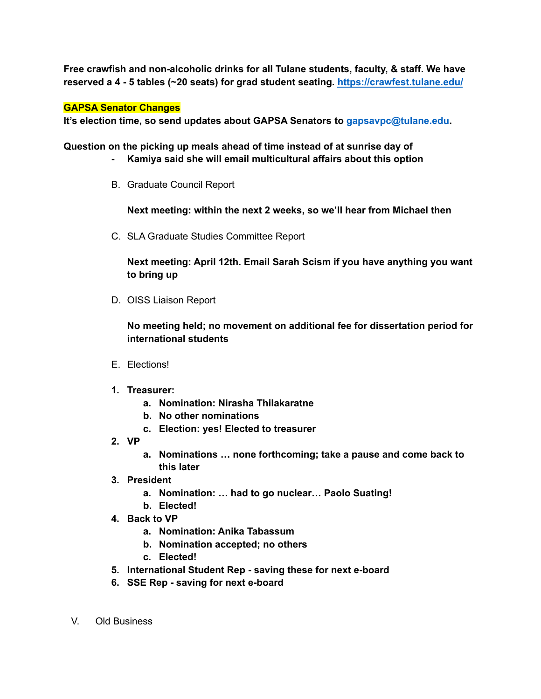**Free crawfish and non-alcoholic drinks for all Tulane students, faculty, & staff. We have reserved a 4 - 5 tables (~20 seats) for grad student seating. <https://crawfest.tulane.edu/>**

## **GAPSA Senator Changes**

**It's election time, so send updates about GAPSA Senators to gapsavpc@tulane.edu.**

**Question on the picking up meals ahead of time instead of at sunrise day of**

- **- Kamiya said she will email multicultural affairs about this option**
- B. Graduate Council Report

**Next meeting: within the next 2 weeks, so we'll hear from Michael then**

C. SLA Graduate Studies Committee Report

**Next meeting: April 12th. Email Sarah Scism if you have anything you want to bring up**

D. OISS Liaison Report

**No meeting held; no movement on additional fee for dissertation period for international students**

- E. Elections!
- **1. Treasurer:**
	- **a. Nomination: Nirasha Thilakaratne**
	- **b. No other nominations**
	- **c. Election: yes! Elected to treasurer**
- **2. VP**
	- **a. Nominations … none forthcoming; take a pause and come back to this later**
- **3. President**
	- **a. Nomination: … had to go nuclear… Paolo Suating!**
	- **b. Elected!**
- **4. Back to VP**
	- **a. Nomination: Anika Tabassum**
	- **b. Nomination accepted; no others**
	- **c. Elected!**
- **5. International Student Rep - saving these for next e-board**
- **6. SSE Rep - saving for next e-board**
- V. Old Business